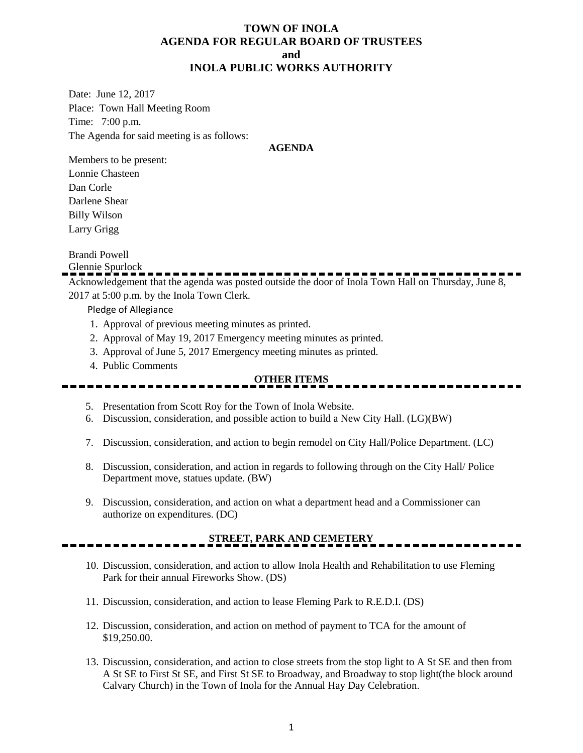## **TOWN OF INOLA AGENDA FOR REGULAR BOARD OF TRUSTEES and INOLA PUBLIC WORKS AUTHORITY**

Date: June 12, 2017 Place: Town Hall Meeting Room Time: 7:00 p.m. The Agenda for said meeting is as follows:

#### **AGENDA**

Members to be present: Lonnie Chasteen Dan Corle Darlene Shear Billy Wilson Larry Grigg

## Brandi Powell

Glennie Spurlock

Acknowledgement that the agenda was posted outside the door of Inola Town Hall on Thursday, June 8, 2017 at 5:00 p.m. by the Inola Town Clerk.

Pledge of Allegiance

- 1. Approval of previous meeting minutes as printed.
- 2. Approval of May 19, 2017 Emergency meeting minutes as printed.
- 3. Approval of June 5, 2017 Emergency meeting minutes as printed.
- 4. Public Comments

# **OTHER ITEMS**

- 5. Presentation from Scott Roy for the Town of Inola Website.
- 6. Discussion, consideration, and possible action to build a New City Hall. (LG)(BW)
- 7. Discussion, consideration, and action to begin remodel on City Hall/Police Department. (LC)
- 8. Discussion, consideration, and action in regards to following through on the City Hall/ Police Department move, statues update. (BW)
- 9. Discussion, consideration, and action on what a department head and a Commissioner can authorize on expenditures. (DC)

# **STREET, PARK AND CEMETERY**

- 10. Discussion, consideration, and action to allow Inola Health and Rehabilitation to use Fleming Park for their annual Fireworks Show. (DS)
- 11. Discussion, consideration, and action to lease Fleming Park to R.E.D.I. (DS)
- 12. Discussion, consideration, and action on method of payment to TCA for the amount of \$19,250.00.
- 13. Discussion, consideration, and action to close streets from the stop light to A St SE and then from A St SE to First St SE, and First St SE to Broadway, and Broadway to stop light(the block around Calvary Church) in the Town of Inola for the Annual Hay Day Celebration.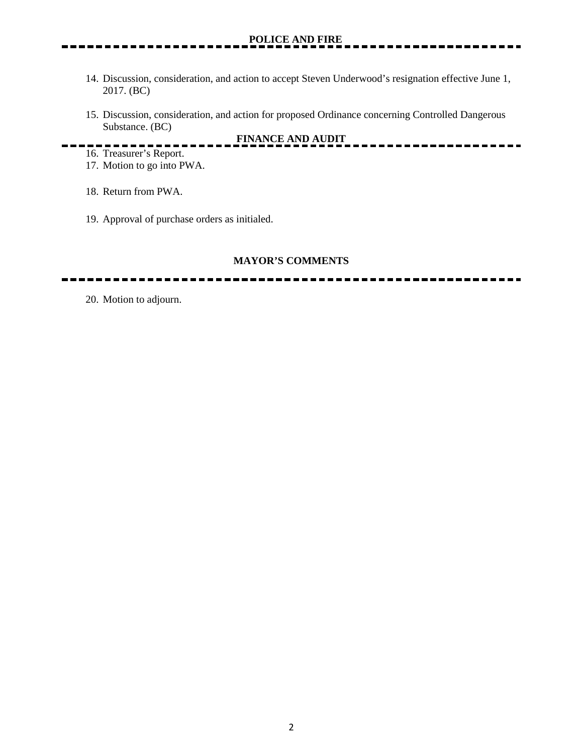- 14. Discussion, consideration, and action to accept Steven Underwood's resignation effective June 1, 2017. (BC)
- 15. Discussion, consideration, and action for proposed Ordinance concerning Controlled Dangerous Substance. (BC)

**FINANCE AND AUDIT**

- 
- 16. Treasurer's Report. 17. Motion to go into PWA.
- 18. Return from PWA.
- 19. Approval of purchase orders as initialed.

#### **MAYOR'S COMMENTS**

20. Motion to adjourn.